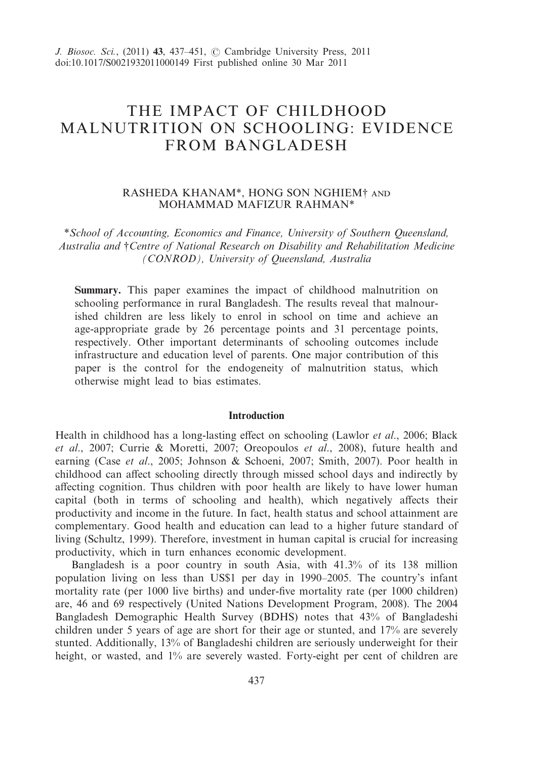# THE IMPACT OF CHILDHOOD MALNUTRITION ON SCHOOLING: EVIDENCE FROM BANGLADESH

# RASHEDA KHANAM\*, HONG SON NGHIEM† MOHAMMAD MAFIZUR RAHMAN\*

\**School of Accounting, Economics and Finance, University of Southern Queensland, Australia and* †*Centre of National Research on Disability and Rehabilitation Medicine (CONROD), University of Queensland, Australia*

**Summary.** This paper examines the impact of childhood malnutrition on schooling performance in rural Bangladesh. The results reveal that malnourished children are less likely to enrol in school on time and achieve an age-appropriate grade by 26 percentage points and 31 percentage points, respectively. Other important determinants of schooling outcomes include infrastructure and education level of parents. One major contribution of this paper is the control for the endogeneity of malnutrition status, which otherwise might lead to bias estimates.

## **Introduction**

Health in childhood has a long-lasting effect on schooling (Lawlor *et al*., 2006; Black *et al*., 2007; Currie & Moretti, 2007; Oreopoulos *et al*., 2008), future health and earning (Case *et al*., 2005; Johnson & Schoeni, 2007; Smith, 2007). Poor health in childhood can affect schooling directly through missed school days and indirectly by affecting cognition. Thus children with poor health are likely to have lower human capital (both in terms of schooling and health), which negatively affects their productivity and income in the future. In fact, health status and school attainment are complementary. Good health and education can lead to a higher future standard of living (Schultz, 1999). Therefore, investment in human capital is crucial for increasing productivity, which in turn enhances economic development.

Bangladesh is a poor country in south Asia, with 41.3% of its 138 million population living on less than US\$1 per day in 1990–2005. The country's infant mortality rate (per 1000 live births) and under-five mortality rate (per 1000 children) are, 46 and 69 respectively (United Nations Development Program, 2008). The 2004 Bangladesh Demographic Health Survey (BDHS) notes that 43% of Bangladeshi children under 5 years of age are short for their age or stunted, and 17% are severely stunted. Additionally, 13% of Bangladeshi children are seriously underweight for their height, or wasted, and 1% are severely wasted. Forty-eight per cent of children are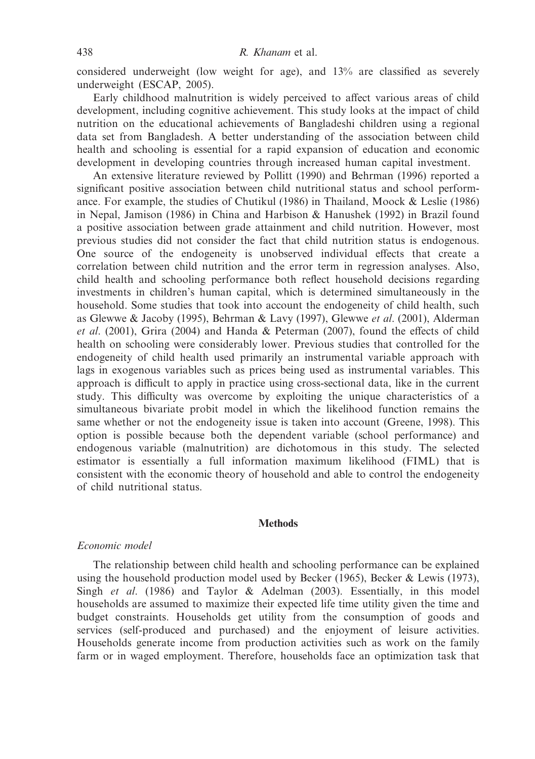considered underweight (low weight for age), and 13% are classified as severely underweight (ESCAP, 2005).

Early childhood malnutrition is widely perceived to affect various areas of child development, including cognitive achievement. This study looks at the impact of child nutrition on the educational achievements of Bangladeshi children using a regional data set from Bangladesh. A better understanding of the association between child health and schooling is essential for a rapid expansion of education and economic development in developing countries through increased human capital investment.

An extensive literature reviewed by Pollitt (1990) and Behrman (1996) reported a significant positive association between child nutritional status and school performance. For example, the studies of Chutikul (1986) in Thailand, Moock & Leslie (1986) in Nepal, Jamison (1986) in China and Harbison & Hanushek (1992) in Brazil found a positive association between grade attainment and child nutrition. However, most previous studies did not consider the fact that child nutrition status is endogenous. One source of the endogeneity is unobserved individual effects that create a correlation between child nutrition and the error term in regression analyses. Also, child health and schooling performance both reflect household decisions regarding investments in children's human capital, which is determined simultaneously in the household. Some studies that took into account the endogeneity of child health, such as Glewwe & Jacoby (1995), Behrman & Lavy (1997), Glewwe *et al*. (2001), Alderman *et al*. (2001), Grira (2004) and Handa & Peterman (2007), found the effects of child health on schooling were considerably lower. Previous studies that controlled for the endogeneity of child health used primarily an instrumental variable approach with lags in exogenous variables such as prices being used as instrumental variables. This approach is difficult to apply in practice using cross-sectional data, like in the current study. This difficulty was overcome by exploiting the unique characteristics of a simultaneous bivariate probit model in which the likelihood function remains the same whether or not the endogeneity issue is taken into account (Greene, 1998). This option is possible because both the dependent variable (school performance) and endogenous variable (malnutrition) are dichotomous in this study. The selected estimator is essentially a full information maximum likelihood (FIML) that is consistent with the economic theory of household and able to control the endogeneity of child nutritional status.

#### **Methods**

#### *Economic model*

The relationship between child health and schooling performance can be explained using the household production model used by Becker (1965), Becker & Lewis (1973), Singh *et al*. (1986) and Taylor & Adelman (2003). Essentially, in this model households are assumed to maximize their expected life time utility given the time and budget constraints. Households get utility from the consumption of goods and services (self-produced and purchased) and the enjoyment of leisure activities. Households generate income from production activities such as work on the family farm or in waged employment. Therefore, households face an optimization task that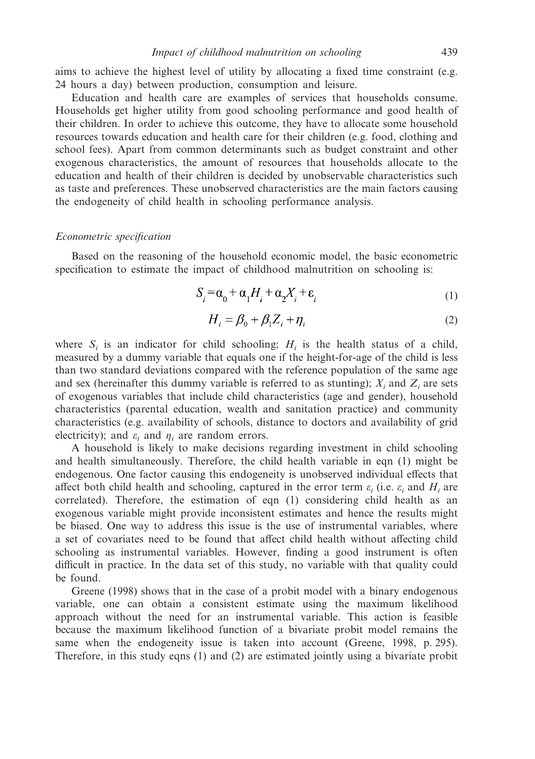aims to achieve the highest level of utility by allocating a fixed time constraint (e.g. 24 hours a day) between production, consumption and leisure.

Education and health care are examples of services that households consume. Households get higher utility from good schooling performance and good health of their children. In order to achieve this outcome, they have to allocate some household resources towards education and health care for their children (e.g. food, clothing and school fees). Apart from common determinants such as budget constraint and other exogenous characteristics, the amount of resources that households allocate to the education and health of their children is decided by unobservable characteristics such as taste and preferences. These unobserved characteristics are the main factors causing the endogeneity of child health in schooling performance analysis.

#### *Econometric specification*

Based on the reasoning of the household economic model, the basic econometric specification to estimate the impact of childhood malnutrition on schooling is:

$$
S_i = \alpha_0 + \alpha_1 H_i + \alpha_2 X_i + \varepsilon_i
$$
 (1)

$$
H_i = \beta_0 + \beta_1 Z_i + \eta_i \tag{2}
$$

where  $S_i$  is an indicator for child schooling;  $H_i$  is the health status of a child, measured by a dummy variable that equals one if the height-for-age of the child is less than two standard deviations compared with the reference population of the same age and sex (hereinafter this dummy variable is referred to as stunting);  $X_i$  and  $Z_i$  are sets of exogenous variables that include child characteristics (age and gender), household characteristics (parental education, wealth and sanitation practice) and community characteristics (e.g. availability of schools, distance to doctors and availability of grid electricity); and  $\varepsilon_i$  and  $\eta_i$  are random errors.

A household is likely to make decisions regarding investment in child schooling and health simultaneously. Therefore, the child health variable in eqn (1) might be endogenous. One factor causing this endogeneity is unobserved individual effects that affect both child health and schooling, captured in the error term  $\varepsilon_i$  (i.e.  $\varepsilon_i$  and  $H_i$  are correlated). Therefore, the estimation of eqn (1) considering child health as an exogenous variable might provide inconsistent estimates and hence the results might be biased. One way to address this issue is the use of instrumental variables, where a set of covariates need to be found that affect child health without affecting child schooling as instrumental variables. However, finding a good instrument is often difficult in practice. In the data set of this study, no variable with that quality could be found.

Greene (1998) shows that in the case of a probit model with a binary endogenous variable, one can obtain a consistent estimate using the maximum likelihood approach without the need for an instrumental variable. This action is feasible because the maximum likelihood function of a bivariate probit model remains the same when the endogeneity issue is taken into account (Greene, 1998, p. 295). Therefore, in this study eqns (1) and (2) are estimated jointly using a bivariate probit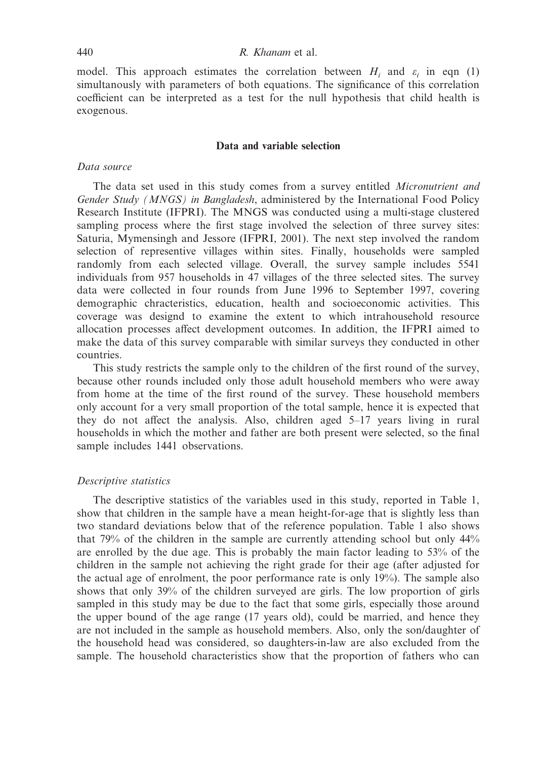#### 440 *R. Khanam* et al.

model. This approach estimates the correlation between  $H_i$  and  $\varepsilon_i$  in eqn (1) simultanously with parameters of both equations. The significance of this correlation coefficient can be interpreted as a test for the null hypothesis that child health is exogenous.

#### **Data and variable selection**

## *Data source*

The data set used in this study comes from a survey entitled *Micronutrient and Gender Study (MNGS) in Bangladesh*, administered by the International Food Policy Research Institute (IFPRI). The MNGS was conducted using a multi-stage clustered sampling process where the first stage involved the selection of three survey sites: Saturia, Mymensingh and Jessore (IFPRI, 2001). The next step involved the random selection of representive villages within sites. Finally, households were sampled randomly from each selected village. Overall, the survey sample includes 5541 individuals from 957 households in 47 villages of the three selected sites. The survey data were collected in four rounds from June 1996 to September 1997, covering demographic chracteristics, education, health and socioeconomic activities. This coverage was designd to examine the extent to which intrahousehold resource allocation processes affect development outcomes. In addition, the IFPRI aimed to make the data of this survey comparable with similar surveys they conducted in other countries.

This study restricts the sample only to the children of the first round of the survey, because other rounds included only those adult household members who were away from home at the time of the first round of the survey. These household members only account for a very small proportion of the total sample, hence it is expected that they do not affect the analysis. Also, children aged 5–17 years living in rural households in which the mother and father are both present were selected, so the final sample includes 1441 observations.

## *Descriptive statistics*

The descriptive statistics of the variables used in this study, reported in Table 1, show that children in the sample have a mean height-for-age that is slightly less than two standard deviations below that of the reference population. Table 1 also shows that 79% of the children in the sample are currently attending school but only 44% are enrolled by the due age. This is probably the main factor leading to 53% of the children in the sample not achieving the right grade for their age (after adjusted for the actual age of enrolment, the poor performance rate is only 19%). The sample also shows that only 39% of the children surveyed are girls. The low proportion of girls sampled in this study may be due to the fact that some girls, especially those around the upper bound of the age range (17 years old), could be married, and hence they are not included in the sample as household members. Also, only the son/daughter of the household head was considered, so daughters-in-law are also excluded from the sample. The household characteristics show that the proportion of fathers who can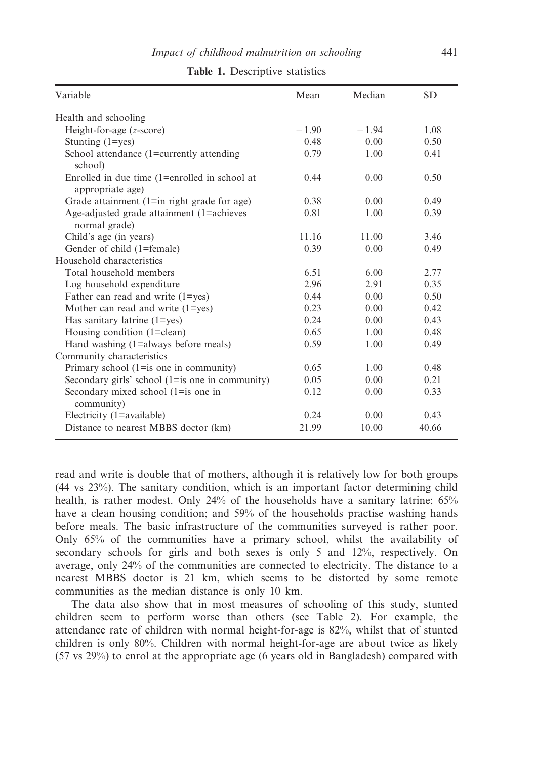| Variable                                                          | Mean    | Median  | <b>SD</b> |
|-------------------------------------------------------------------|---------|---------|-----------|
| Health and schooling                                              |         |         |           |
| Height-for-age (z-score)                                          | $-1.90$ | $-1.94$ | 1.08      |
| Stunting $(1 = yes)$                                              | 0.48    | 0.00    | 0.50      |
| School attendance (1=currently attending<br>school)               | 0.79    | 1.00    | 0.41      |
| Enrolled in due time (1=enrolled in school at<br>appropriate age) | 0.44    | 0.00    | 0.50      |
| Grade attainment $(1 = \text{in right grade for age})$            | 0.38    | 0.00    | 0.49      |
| Age-adjusted grade attainment (1=achieves<br>normal grade)        | 0.81    | 1.00    | 0.39      |
| Child's age (in years)                                            | 11.16   | 11.00   | 3.46      |
| Gender of child (1=female)                                        | 0.39    | 0.00    | 0.49      |
| Household characteristics                                         |         |         |           |
| Total household members                                           | 6.51    | 6.00    | 2.77      |
| Log household expenditure                                         | 2.96    | 2.91    | 0.35      |
| Father can read and write (1=yes)                                 | 0.44    | 0.00    | 0.50      |
| Mother can read and write $(1 = yes)$                             | 0.23    | 0.00    | 0.42      |
| Has sanitary latrine $(1 = yes)$                                  | 0.24    | 0.00    | 0.43      |
| Housing condition (1=clean)                                       | 0.65    | 1.00    | 0.48      |
| Hand washing (1=always before meals)                              | 0.59    | 1.00    | 0.49      |
| Community characteristics                                         |         |         |           |
| Primary school $(1 = is one in community)$                        | 0.65    | 1.00    | 0.48      |
| Secondary girls' school (1=is one in community)                   | 0.05    | 0.00    | 0.21      |
| Secondary mixed school (1=is one in<br>community)                 | 0.12    | 0.00    | 0.33      |
| Electricity (1=available)                                         | 0.24    | 0.00    | 0.43      |
| Distance to nearest MBBS doctor (km)                              | 21.99   | 10.00   | 40.66     |

|  |  | Table 1. Descriptive statistics |  |
|--|--|---------------------------------|--|
|--|--|---------------------------------|--|

read and write is double that of mothers, although it is relatively low for both groups (44 vs 23%). The sanitary condition, which is an important factor determining child health, is rather modest. Only 24% of the households have a sanitary latrine; 65% have a clean housing condition; and 59% of the households practise washing hands before meals. The basic infrastructure of the communities surveyed is rather poor. Only 65% of the communities have a primary school, whilst the availability of secondary schools for girls and both sexes is only 5 and 12%, respectively. On average, only 24% of the communities are connected to electricity. The distance to a nearest MBBS doctor is 21 km, which seems to be distorted by some remote communities as the median distance is only 10 km.

The data also show that in most measures of schooling of this study, stunted children seem to perform worse than others (see Table 2). For example, the attendance rate of children with normal height-for-age is 82%, whilst that of stunted children is only 80%. Children with normal height-for-age are about twice as likely (57 vs 29%) to enrol at the appropriate age (6 years old in Bangladesh) compared with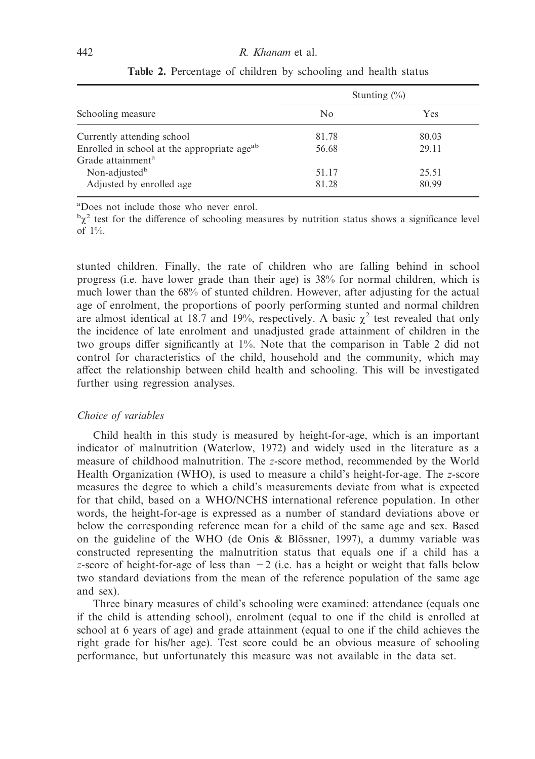|                                                         |       | Stunting $(\%)$ |  |
|---------------------------------------------------------|-------|-----------------|--|
| Schooling measure                                       | No    | Yes             |  |
| Currently attending school                              | 81.78 | 80.03           |  |
| Enrolled in school at the appropriate age <sup>ab</sup> | 56.68 | 29.11           |  |
| Grade attainment <sup>a</sup>                           |       |                 |  |
| Non-adjusted <sup>b</sup>                               | 51.17 | 25.51           |  |
| Adjusted by enrolled age                                | 81.28 | 80.99           |  |

**Table 2.** Percentage of children by schooling and health status

a Does not include those who never enrol.

 $\alpha^b \chi^2$  test for the difference of schooling measures by nutrition status shows a significance level of 1%.

stunted children. Finally, the rate of children who are falling behind in school progress (i.e. have lower grade than their age) is 38% for normal children, which is much lower than the 68% of stunted children. However, after adjusting for the actual age of enrolment, the proportions of poorly performing stunted and normal children are almost identical at 18.7 and 19%, respectively. A basic  $\chi^2$  test revealed that only the incidence of late enrolment and unadjusted grade attainment of children in the two groups differ significantly at 1%. Note that the comparison in Table 2 did not control for characteristics of the child, household and the community, which may affect the relationship between child health and schooling. This will be investigated further using regression analyses.

## *Choice of variables*

Child health in this study is measured by height-for-age, which is an important indicator of malnutrition (Waterlow, 1972) and widely used in the literature as a measure of childhood malnutrition. The *z*-score method, recommended by the World Health Organization (WHO), is used to measure a child's height-for-age. The *z*-score measures the degree to which a child's measurements deviate from what is expected for that child, based on a WHO/NCHS international reference population. In other words, the height-for-age is expressed as a number of standard deviations above or below the corresponding reference mean for a child of the same age and sex. Based on the guideline of the WHO (de Onis & Blössner, 1997), a dummy variable was constructed representing the malnutrition status that equals one if a child has a *z*-score of height-for-age of less than  $-2$  (i.e. has a height or weight that falls below two standard deviations from the mean of the reference population of the same age and sex).

Three binary measures of child's schooling were examined: attendance (equals one if the child is attending school), enrolment (equal to one if the child is enrolled at school at 6 years of age) and grade attainment (equal to one if the child achieves the right grade for his/her age). Test score could be an obvious measure of schooling performance, but unfortunately this measure was not available in the data set.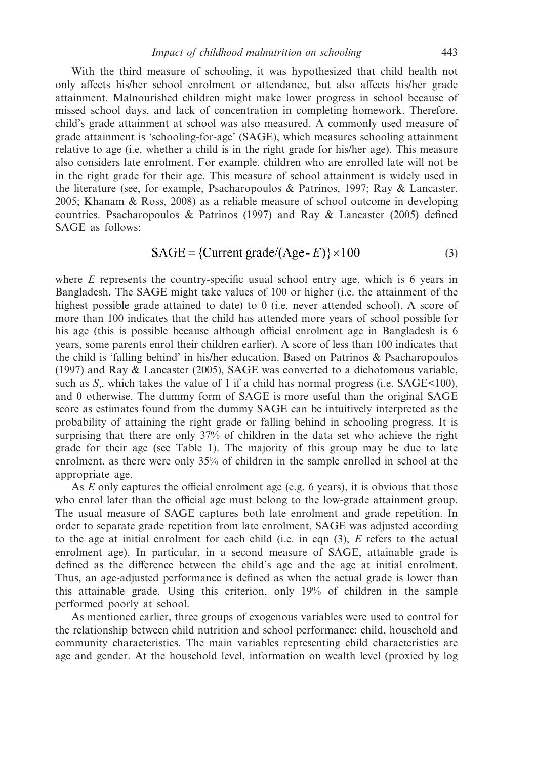With the third measure of schooling, it was hypothesized that child health not only affects his/her school enrolment or attendance, but also affects his/her grade attainment. Malnourished children might make lower progress in school because of missed school days, and lack of concentration in completing homework. Therefore, child's grade attainment at school was also measured. A commonly used measure of grade attainment is 'schooling-for-age' (SAGE), which measures schooling attainment relative to age (i.e. whether a child is in the right grade for his/her age). This measure also considers late enrolment. For example, children who are enrolled late will not be in the right grade for their age. This measure of school attainment is widely used in the literature (see, for example, Psacharopoulos & Patrinos, 1997; Ray & Lancaster, 2005; Khanam & Ross, 2008) as a reliable measure of school outcome in developing countries. Psacharopoulos & Patrinos (1997) and Ray & Lancaster (2005) defined SAGE as follows:

$$
SAGE = \{Current\ grade/(Age - E)\} \times 100 \tag{3}
$$

where *E* represents the country-specific usual school entry age, which is 6 years in Bangladesh. The SAGE might take values of 100 or higher (i.e. the attainment of the highest possible grade attained to date) to 0 (i.e. never attended school). A score of more than 100 indicates that the child has attended more years of school possible for his age (this is possible because although official enrolment age in Bangladesh is 6 years, some parents enrol their children earlier). A score of less than 100 indicates that the child is 'falling behind' in his/her education. Based on Patrinos & Psacharopoulos (1997) and Ray & Lancaster (2005), SAGE was converted to a dichotomous variable, such as  $S_i$ , which takes the value of 1 if a child has normal progress (i.e.  $SAGE<100$ ), and 0 otherwise. The dummy form of SAGE is more useful than the original SAGE score as estimates found from the dummy SAGE can be intuitively interpreted as the probability of attaining the right grade or falling behind in schooling progress. It is surprising that there are only 37% of children in the data set who achieve the right grade for their age (see Table 1). The majority of this group may be due to late enrolment, as there were only 35% of children in the sample enrolled in school at the appropriate age.

As *E* only captures the official enrolment age (e.g. 6 years), it is obvious that those who enrol later than the official age must belong to the low-grade attainment group. The usual measure of SAGE captures both late enrolment and grade repetition. In order to separate grade repetition from late enrolment, SAGE was adjusted according to the age at initial enrolment for each child (i.e. in eqn (3), *E* refers to the actual enrolment age). In particular, in a second measure of SAGE, attainable grade is defined as the difference between the child's age and the age at initial enrolment. Thus, an age-adjusted performance is defined as when the actual grade is lower than this attainable grade. Using this criterion, only 19% of children in the sample performed poorly at school.

As mentioned earlier, three groups of exogenous variables were used to control for the relationship between child nutrition and school performance: child, household and community characteristics. The main variables representing child characteristics are age and gender. At the household level, information on wealth level (proxied by log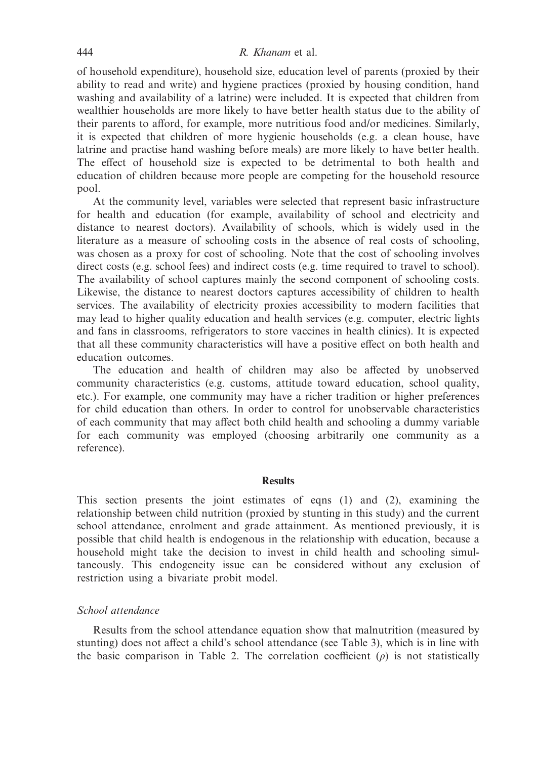## 444 *R. Khanam* et al.

of household expenditure), household size, education level of parents (proxied by their ability to read and write) and hygiene practices (proxied by housing condition, hand washing and availability of a latrine) were included. It is expected that children from wealthier households are more likely to have better health status due to the ability of their parents to afford, for example, more nutritious food and/or medicines. Similarly, it is expected that children of more hygienic households (e.g. a clean house, have latrine and practise hand washing before meals) are more likely to have better health. The effect of household size is expected to be detrimental to both health and education of children because more people are competing for the household resource pool.

At the community level, variables were selected that represent basic infrastructure for health and education (for example, availability of school and electricity and distance to nearest doctors). Availability of schools, which is widely used in the literature as a measure of schooling costs in the absence of real costs of schooling, was chosen as a proxy for cost of schooling. Note that the cost of schooling involves direct costs (e.g. school fees) and indirect costs (e.g. time required to travel to school). The availability of school captures mainly the second component of schooling costs. Likewise, the distance to nearest doctors captures accessibility of children to health services. The availability of electricity proxies accessibility to modern facilities that may lead to higher quality education and health services (e.g. computer, electric lights and fans in classrooms, refrigerators to store vaccines in health clinics). It is expected that all these community characteristics will have a positive effect on both health and education outcomes.

The education and health of children may also be affected by unobserved community characteristics (e.g. customs, attitude toward education, school quality, etc.). For example, one community may have a richer tradition or higher preferences for child education than others. In order to control for unobservable characteristics of each community that may affect both child health and schooling a dummy variable for each community was employed (choosing arbitrarily one community as a reference).

#### **Results**

This section presents the joint estimates of eqns (1) and (2), examining the relationship between child nutrition (proxied by stunting in this study) and the current school attendance, enrolment and grade attainment. As mentioned previously, it is possible that child health is endogenous in the relationship with education, because a household might take the decision to invest in child health and schooling simultaneously. This endogeneity issue can be considered without any exclusion of restriction using a bivariate probit model.

# *School attendance*

Results from the school attendance equation show that malnutrition (measured by stunting) does not affect a child's school attendance (see Table 3), which is in line with the basic comparison in Table 2. The correlation coefficient  $(\rho)$  is not statistically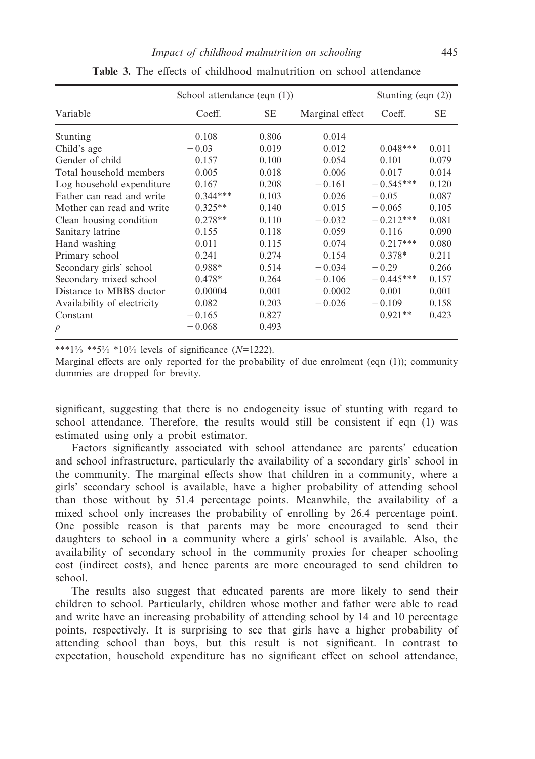|                             | School attendance $(eqn(1))$ |           |                 | Stunting (eqn $(2)$ ) |           |
|-----------------------------|------------------------------|-----------|-----------------|-----------------------|-----------|
| Variable                    | Coeff.                       | <b>SE</b> | Marginal effect | Coeff.                | <b>SE</b> |
| Stunting                    | 0.108                        | 0.806     | 0.014           |                       |           |
| Child's age                 | $-0.03$                      | 0.019     | 0.012           | $0.048***$            | 0.011     |
| Gender of child             | 0.157                        | 0.100     | 0.054           | 0.101                 | 0.079     |
| Total household members     | 0.005                        | 0.018     | 0.006           | 0.017                 | 0.014     |
| Log household expenditure   | 0.167                        | 0.208     | $-0.161$        | $-0.545***$           | 0.120     |
| Father can read and write   | $0.344***$                   | 0.103     | 0.026           | $-0.05$               | 0.087     |
| Mother can read and write   | $0.325**$                    | 0.140     | 0.015           | $-0.065$              | 0.105     |
| Clean housing condition     | $0.278**$                    | 0.110     | $-0.032$        | $-0.212***$           | 0.081     |
| Sanitary latrine            | 0.155                        | 0.118     | 0.059           | 0.116                 | 0.090     |
| Hand washing                | 0.011                        | 0.115     | 0.074           | $0.217***$            | 0.080     |
| Primary school              | 0.241                        | 0.274     | 0.154           | $0.378*$              | 0.211     |
| Secondary girls' school     | $0.988*$                     | 0.514     | $-0.034$        | $-0.29$               | 0.266     |
| Secondary mixed school      | $0.478*$                     | 0.264     | $-0.106$        | $-0.445***$           | 0.157     |
| Distance to MBBS doctor     | 0.00004                      | 0.001     | 0.0002          | 0.001                 | 0.001     |
| Availability of electricity | 0.082                        | 0.203     | $-0.026$        | $-0.109$              | 0.158     |
| Constant                    | $-0.165$                     | 0.827     |                 | $0.921**$             | 0.423     |
| $\rho$                      | $-0.068$                     | 0.493     |                 |                       |           |

**Table 3.** The effects of childhood malnutrition on school attendance

\*\*\*1% \*\*5% \*10% levels of significance (*N*=1222).

Marginal effects are only reported for the probability of due enrolment (eqn (1)); community dummies are dropped for brevity.

significant, suggesting that there is no endogeneity issue of stunting with regard to school attendance. Therefore, the results would still be consistent if eqn (1) was estimated using only a probit estimator.

Factors significantly associated with school attendance are parents' education and school infrastructure, particularly the availability of a secondary girls' school in the community. The marginal effects show that children in a community, where a girls' secondary school is available, have a higher probability of attending school than those without by 51.4 percentage points. Meanwhile, the availability of a mixed school only increases the probability of enrolling by 26.4 percentage point. One possible reason is that parents may be more encouraged to send their daughters to school in a community where a girls' school is available. Also, the availability of secondary school in the community proxies for cheaper schooling cost (indirect costs), and hence parents are more encouraged to send children to school.

The results also suggest that educated parents are more likely to send their children to school. Particularly, children whose mother and father were able to read and write have an increasing probability of attending school by 14 and 10 percentage points, respectively. It is surprising to see that girls have a higher probability of attending school than boys, but this result is not significant. In contrast to expectation, household expenditure has no significant effect on school attendance,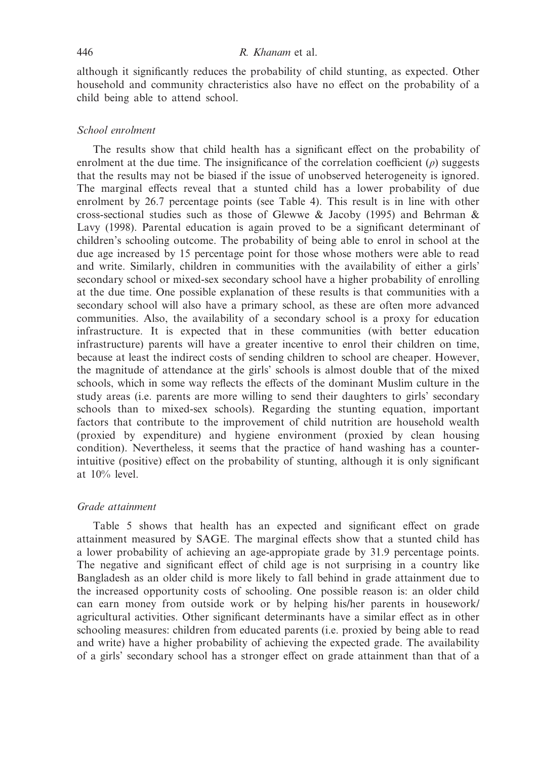although it significantly reduces the probability of child stunting, as expected. Other household and community chracteristics also have no effect on the probability of a child being able to attend school.

## *School enrolment*

The results show that child health has a significant effect on the probability of enrolment at the due time. The insignificance of the correlation coefficient  $(\rho)$  suggests that the results may not be biased if the issue of unobserved heterogeneity is ignored. The marginal effects reveal that a stunted child has a lower probability of due enrolment by 26.7 percentage points (see Table 4). This result is in line with other cross-sectional studies such as those of Glewwe & Jacoby (1995) and Behrman & Lavy (1998). Parental education is again proved to be a significant determinant of children's schooling outcome. The probability of being able to enrol in school at the due age increased by 15 percentage point for those whose mothers were able to read and write. Similarly, children in communities with the availability of either a girls' secondary school or mixed-sex secondary school have a higher probability of enrolling at the due time. One possible explanation of these results is that communities with a secondary school will also have a primary school, as these are often more advanced communities. Also, the availability of a secondary school is a proxy for education infrastructure. It is expected that in these communities (with better education infrastructure) parents will have a greater incentive to enrol their children on time, because at least the indirect costs of sending children to school are cheaper. However, the magnitude of attendance at the girls' schools is almost double that of the mixed schools, which in some way reflects the effects of the dominant Muslim culture in the study areas (i.e. parents are more willing to send their daughters to girls' secondary schools than to mixed-sex schools). Regarding the stunting equation, important factors that contribute to the improvement of child nutrition are household wealth (proxied by expenditure) and hygiene environment (proxied by clean housing condition). Nevertheless, it seems that the practice of hand washing has a counterintuitive (positive) effect on the probability of stunting, although it is only significant at 10% level.

# *Grade attainment*

Table 5 shows that health has an expected and significant effect on grade attainment measured by SAGE. The marginal effects show that a stunted child has a lower probability of achieving an age-appropiate grade by 31.9 percentage points. The negative and significant effect of child age is not surprising in a country like Bangladesh as an older child is more likely to fall behind in grade attainment due to the increased opportunity costs of schooling. One possible reason is: an older child can earn money from outside work or by helping his/her parents in housework/ agricultural activities. Other significant determinants have a similar effect as in other schooling measures: children from educated parents (i.e. proxied by being able to read and write) have a higher probability of achieving the expected grade. The availability of a girls' secondary school has a stronger effect on grade attainment than that of a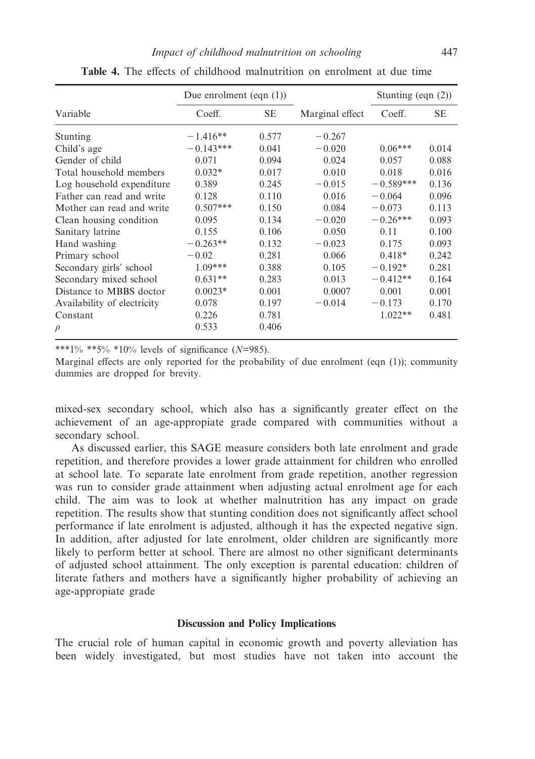|                             | Due enrolment (eqn $(1)$ ) |           |                 | Stunting (eqn $(2)$ ) |       |
|-----------------------------|----------------------------|-----------|-----------------|-----------------------|-------|
| Variable                    | Coeff.                     | <b>SE</b> | Marginal effect | Coeff.                | SЕ    |
| Stunting                    | $-1.416**$                 | 0.577     | $-0.267$        |                       |       |
| Child's age                 | $-0.143***$                | 0.041     | $-0.020$        | $0.06***$             | 0.014 |
| Gender of child             | 0.071                      | 0.094     | 0.024           | 0.057                 | 0.088 |
| Total household members     | $0.032*$                   | 0.017     | 0.010           | 0.018                 | 0.016 |
| Log household expenditure   | 0.389                      | 0.245     | $-0.015$        | $-0.589***$           | 0.136 |
| Father can read and write   | 0.128                      | 0.110     | 0.016           | $-0.064$              | 0.096 |
| Mother can read and write   | $0.507***$                 | 0.150     | 0.084           | $-0.073$              | 0.113 |
| Clean housing condition     | 0.095                      | 0.134     | $-0.020$        | $-0.26***$            | 0.093 |
| Sanitary latrine            | 0.155                      | 0.106     | 0.050           | 0.11                  | 0.100 |
| Hand washing                | $-0.263**$                 | 0.132     | $-0.023$        | 0.175                 | 0.093 |
| Primary school              | $-0.02$                    | 0.281     | 0.066           | $0.418*$              | 0.242 |
| Secondary girls' school     | $1.09***$                  | 0.388     | 0.105           | $-0.192*$             | 0.281 |
| Secondary mixed school      | $0.631**$                  | 0.283     | 0.013           | $-0.412**$            | 0.164 |
| Distance to MBBS doctor     | $0.0023*$                  | 0.001     | 0.0007          | 0.001                 | 0.001 |
| Availability of electricity | 0.078                      | 0.197     | $-0.014$        | $-0.173$              | 0.170 |
| Constant                    | 0.226                      | 0.781     |                 | $1.022**$             | 0.481 |
| $\rho$                      | 0.533                      | 0.406     |                 |                       |       |

**Table 4.** The effects of childhood malnutrition on enrolment at due time

\*\*\*1% \*\*5% \*10% levels of significance (*N*=985).

Marginal effects are only reported for the probability of due enrolment (eqn (1)); community dummies are dropped for brevity.

mixed-sex secondary school, which also has a significantly greater effect on the achievement of an age-appropiate grade compared with communities without a secondary school.

As discussed earlier, this SAGE measure considers both late enrolment and grade repetition, and therefore provides a lower grade attainment for children who enrolled at school late. To separate late enrolment from grade repetition, another regression was run to consider grade attainment when adjusting actual enrolment age for each child. The aim was to look at whether malnutrition has any impact on grade repetition. The results show that stunting condition does not significantly affect school performance if late enrolment is adjusted, although it has the expected negative sign. In addition, after adjusted for late enrolment, older children are significantly more likely to perform better at school. There are almost no other significant determinants of adjusted school attainment. The only exception is parental education: children of literate fathers and mothers have a significantly higher probability of achieving an age-appropiate grade

# **Discussion and Policy Implications**

The crucial role of human capital in economic growth and poverty alleviation has been widely investigated, but most studies have not taken into account the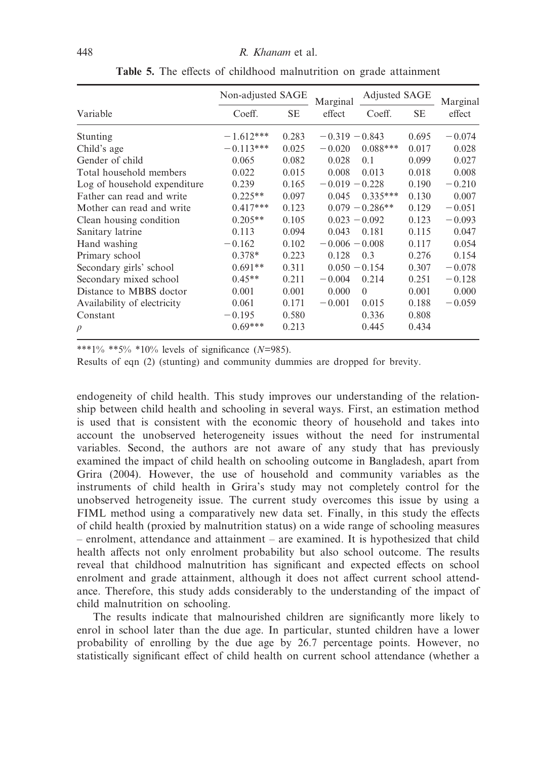|                              | Non-adjusted SAGE |       | Marginal         | Adjusted SAGE     |           | Marginal |
|------------------------------|-------------------|-------|------------------|-------------------|-----------|----------|
| Variable                     | Coeff.            | SЕ    | effect           | Coeff.            | <b>SE</b> | effect   |
| Stunting                     | $-1.612***$       | 0.283 | $-0.319 - 0.843$ |                   | 0.695     | $-0.074$ |
| Child's age                  | $-0.113***$       | 0.025 | $-0.020$         | $0.088***$        | 0.017     | 0.028    |
| Gender of child              | 0.065             | 0.082 | 0.028            | 0.1               | 0.099     | 0.027    |
| Total household members      | 0.022             | 0.015 | 0.008            | 0.013             | 0.018     | 0.008    |
| Log of household expenditure | 0.239             | 0.165 | $-0.019 - 0.228$ |                   | 0.190     | $-0.210$ |
| Father can read and write    | $0.225**$         | 0.097 | 0.045            | $0.335***$        | 0.130     | 0.007    |
| Mother can read and write    | $0.417***$        | 0.123 |                  | $0.079 - 0.286**$ | 0.129     | $-0.051$ |
| Clean housing condition      | $0.205**$         | 0.105 | $0.023 - 0.092$  |                   | 0.123     | $-0.093$ |
| Sanitary latrine             | 0.113             | 0.094 | 0.043            | 0.181             | 0.115     | 0.047    |
| Hand washing                 | $-0.162$          | 0.102 | $-0.006 - 0.008$ |                   | 0.117     | 0.054    |
| Primary school               | $0.378*$          | 0.223 | 0.128            | 0.3               | 0.276     | 0.154    |
| Secondary girls' school      | $0.691**$         | 0.311 | $0.050 - 0.154$  |                   | 0.307     | $-0.078$ |
| Secondary mixed school       | $0.45**$          | 0.211 | $-0.004$         | 0.214             | 0.251     | $-0.128$ |
| Distance to MBBS doctor      | 0.001             | 0.001 | 0.000            | $\Omega$          | 0.001     | 0.000    |
| Availability of electricity  | 0.061             | 0.171 | $-0.001$         | 0.015             | 0.188     | $-0.059$ |
| Constant                     | $-0.195$          | 0.580 |                  | 0.336             | 0.808     |          |
| $\rho$                       | $0.69***$         | 0.213 |                  | 0.445             | 0.434     |          |

**Table 5.** The effects of childhood malnutrition on grade attainment

\*\*\*1% \*\*5% \*10% levels of significance (*N*=985).

Results of eqn (2) (stunting) and community dummies are dropped for brevity.

endogeneity of child health. This study improves our understanding of the relationship between child health and schooling in several ways. First, an estimation method is used that is consistent with the economic theory of household and takes into account the unobserved heterogeneity issues without the need for instrumental variables. Second, the authors are not aware of any study that has previously examined the impact of child health on schooling outcome in Bangladesh, apart from Grira (2004). However, the use of household and community variables as the instruments of child health in Grira's study may not completely control for the unobserved hetrogeneity issue. The current study overcomes this issue by using a FIML method using a comparatively new data set. Finally, in this study the effects of child health (proxied by malnutrition status) on a wide range of schooling measures – enrolment, attendance and attainment – are examined. It is hypothesized that child health affects not only enrolment probability but also school outcome. The results reveal that childhood malnutrition has significant and expected effects on school enrolment and grade attainment, although it does not affect current school attendance. Therefore, this study adds considerably to the understanding of the impact of child malnutrition on schooling.

The results indicate that malnourished children are significantly more likely to enrol in school later than the due age. In particular, stunted children have a lower probability of enrolling by the due age by 26.7 percentage points. However, no statistically significant effect of child health on current school attendance (whether a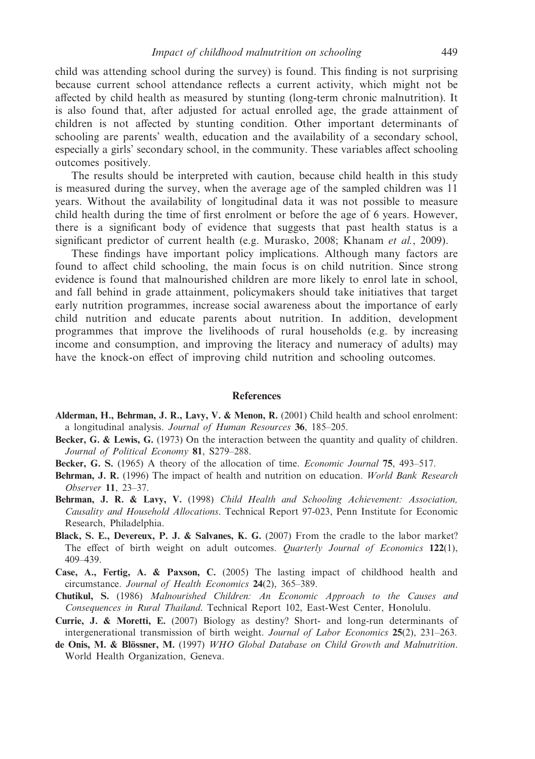child was attending school during the survey) is found. This finding is not surprising because current school attendance reflects a current activity, which might not be affected by child health as measured by stunting (long-term chronic malnutrition). It is also found that, after adjusted for actual enrolled age, the grade attainment of children is not affected by stunting condition. Other important determinants of schooling are parents' wealth, education and the availability of a secondary school, especially a girls' secondary school, in the community. These variables affect schooling outcomes positively.

The results should be interpreted with caution, because child health in this study is measured during the survey, when the average age of the sampled children was 11 years. Without the availability of longitudinal data it was not possible to measure child health during the time of first enrolment or before the age of 6 years. However, there is a significant body of evidence that suggests that past health status is a significant predictor of current health (e.g. Murasko, 2008; Khanam *et al.*, 2009).

These findings have important policy implications. Although many factors are found to affect child schooling, the main focus is on child nutrition. Since strong evidence is found that malnourished children are more likely to enrol late in school, and fall behind in grade attainment, policymakers should take initiatives that target early nutrition programmes, increase social awareness about the importance of early child nutrition and educate parents about nutrition. In addition, development programmes that improve the livelihoods of rural households (e.g. by increasing income and consumption, and improving the literacy and numeracy of adults) may have the knock-on effect of improving child nutrition and schooling outcomes.

#### **References**

- **Alderman, H., Behrman, J. R., Lavy, V. & Menon, R.** (2001) Child health and school enrolment: a longitudinal analysis. *Journal of Human Resources* **36**, 185–205.
- **Becker, G. & Lewis, G.** (1973) On the interaction between the quantity and quality of children. *Journal of Political Economy* **81**, S279–288.
- **Becker, G. S.** (1965) A theory of the allocation of time. *Economic Journal* **75**, 493–517.
- **Behrman, J. R.** (1996) The impact of health and nutrition on education. *World Bank Research Observer* **11**, 23–37.
- **Behrman, J. R. & Lavy, V.** (1998) *Child Health and Schooling Achievement: Association, Causality and Household Allocations*. Technical Report 97-023, Penn Institute for Economic Research, Philadelphia.
- **Black, S. E., Devereux, P. J. & Salvanes, K. G.** (2007) From the cradle to the labor market? The effect of birth weight on adult outcomes. *Quarterly Journal of Economics* **122**(1), 409–439.
- **Case, A., Fertig, A. & Paxson, C.** (2005) The lasting impact of childhood health and circumstance. *Journal of Health Economics* **24**(2), 365–389.
- **Chutikul, S.** (1986) *Malnourished Children: An Economic Approach to the Causes and Consequences in Rural Thailand*. Technical Report 102, East-West Center, Honolulu.
- **Currie, J. & Moretti, E.** (2007) Biology as destiny? Short- and long-run determinants of intergenerational transmission of birth weight. *Journal of Labor Economics* **25**(2), 231–263.
- **de Onis, M. & Blössner, M.** (1997) *WHO Global Database on Child Growth and Malnutrition*. World Health Organization, Geneva.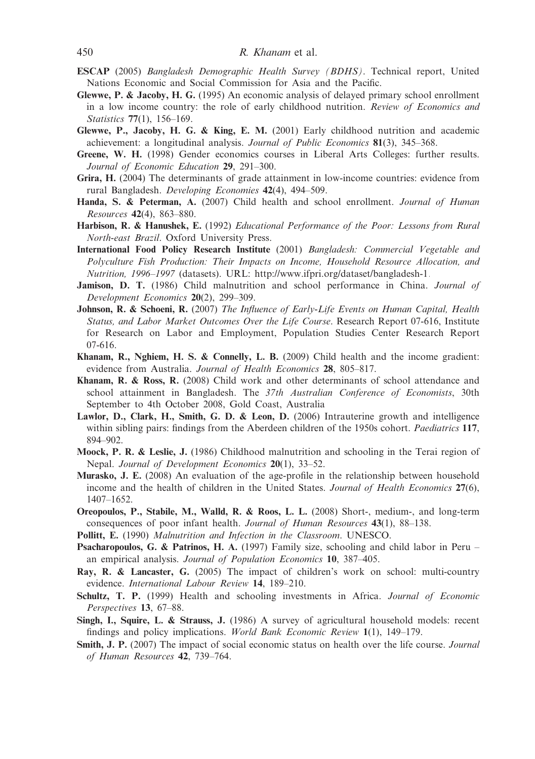- **ESCAP** (2005) *Bangladesh Demographic Health Survey (BDHS)*. Technical report, United Nations Economic and Social Commission for Asia and the Pacific.
- **Glewwe, P. & Jacoby, H. G.** (1995) An economic analysis of delayed primary school enrollment in a low income country: the role of early childhood nutrition. *Review of Economics and Statistics* **77**(1), 156–169.
- **Glewwe, P., Jacoby, H. G. & King, E. M.** (2001) Early childhood nutrition and academic achievement: a longitudinal analysis. *Journal of Public Economics* **81**(3), 345–368.
- **Greene, W. H.** (1998) Gender economics courses in Liberal Arts Colleges: further results. *Journal of Economic Education* **29**, 291–300.
- **Grira, H.** (2004) The determinants of grade attainment in low-income countries: evidence from rural Bangladesh. *Developing Economies* **42**(4), 494–509.
- **Handa, S. & Peterman, A.** (2007) Child health and school enrollment. *Journal of Human Resources* **42**(4), 863–880.
- **Harbison, R. & Hanushek, E.** (1992) *Educational Performance of the Poor: Lessons from Rural North-east Brazil*. Oxford University Press.
- **International Food Policy Research Institute** (2001) *Bangladesh: Commercial Vegetable and Polyculture Fish Production: Their Impacts on Income, Household Resource Allocation, and Nutrition, 1996–1997* (datasets). URL: [http://www.ifpri.org/dataset/bangladesh-1.](http://www.ifpri.org/dataset/bangladesh-1)
- **Jamison, D. T.** (1986) Child malnutrition and school performance in China. *Journal of Development Economics* **20**(2), 299–309.
- **Johnson, R. & Schoeni, R.** (2007) *The Influence of Early-Life Events on Human Capital, Health Status, and Labor Market Outcomes Over the Life Course*. Research Report 07-616, Institute for Research on Labor and Employment, Population Studies Center Research Report 07-616.
- **Khanam, R., Nghiem, H. S. & Connelly, L. B.** (2009) Child health and the income gradient: evidence from Australia. *Journal of Health Economics* **28**, 805–817.
- **Khanam, R. & Ross, R.** (2008) Child work and other determinants of school attendance and school attainment in Bangladesh. The *37th Australian Conference of Economists*, 30th September to 4th October 2008, Gold Coast, Australia
- **Lawlor, D., Clark, H., Smith, G. D. & Leon, D.** (2006) Intrauterine growth and intelligence within sibling pairs: findings from the Aberdeen children of the 1950s cohort. *Paediatrics* **117**, 894–902.
- **Moock, P. R. & Leslie, J.** (1986) Childhood malnutrition and schooling in the Terai region of Nepal. *Journal of Development Economics* **20**(1), 33–52.
- **Murasko, J. E.** (2008) An evaluation of the age-profile in the relationship between household income and the health of children in the United States. *Journal of Health Economics* **27**(6), 1407–1652.
- **Oreopoulos, P., Stabile, M., Walld, R. & Roos, L. L.** (2008) Short-, medium-, and long-term consequences of poor infant health. *Journal of Human Resources* **43**(1), 88–138.
- **Pollitt, E.** (1990) *Malnutrition and Infection in the Classroom*. UNESCO.
- **Psacharopoulos, G. & Patrinos, H. A.** (1997) Family size, schooling and child labor in Peru an empirical analysis. *Journal of Population Economics* **10**, 387–405.
- **Ray, R. & Lancaster, G.** (2005) The impact of children's work on school: multi-country evidence. *International Labour Review* **14**, 189–210.
- **Schultz, T. P.** (1999) Health and schooling investments in Africa. *Journal of Economic Perspectives* **13**, 67–88.
- **Singh, I., Squire, L. & Strauss, J.** (1986) A survey of agricultural household models: recent findings and policy implications. *World Bank Economic Review* **1**(1), 149–179.
- **Smith, J. P.** (2007) The impact of social economic status on health over the life course. *Journal of Human Resources* **42**, 739–764.